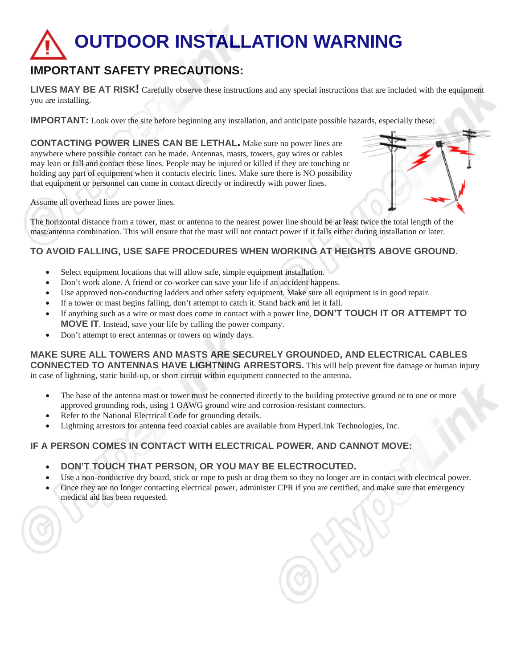## **OUTDOOR INSTALLATION WARNING**

## **IMPORTANT SAFETY PRECAUTIONS:**

**LIVES MAY BE AT RISK!** Carefully observe these instructions and any special instructions that are included with the equipment you are installing.

**IMPORTANT:** Look over the site before beginning any installation, and anticipate possible hazards, especially these:

**CONTACTING POWER LINES CAN BE LETHAL.** Make sure no power lines are anywhere where possible contact can be made. Antennas, masts, towers, guy wires or cables may lean or fall and contact these lines. People may be injured or killed if they are touching or holding any part of equipment when it contacts electric lines. Make sure there is NO possibility that equipment or personnel can come in contact directly or indirectly with power lines.

Assume all overhead lines are power lines.

The horizontal distance from a tower, mast or antenna to the nearest power line should be at least twice the total length of the mast/antenna combination. This will ensure that the mast will not contact power if it falls either during installation or later.

## **TO AVOID FALLING, USE SAFE PROCEDURES WHEN WORKING AT HEIGHTS ABOVE GROUND.**

- Select equipment locations that will allow safe, simple equipment installation.
- Don't work alone. A friend or co-worker can save your life if an accident happens.
- Use approved non-conducting ladders and other safety equipment. Make sure all equipment is in good repair.
- If a tower or mast begins falling, don't attempt to catch it. Stand back and let it fall.
- If anything such as a wire or mast does come in contact with a power line, **DON'T TOUCH IT OR ATTEMPT TO MOVE IT**. Instead, save your life by calling the power company.
- Don't attempt to erect antennas or towers on windy days.

**MAKE SURE ALL TOWERS AND MASTS ARE SECURELY GROUNDED, AND ELECTRICAL CABLES CONNECTED TO ANTENNAS HAVE LIGHTNING ARRESTORS.** This will help prevent fire damage or human injury in case of lightning, static build-up, or short circuit within equipment connected to the antenna.

- The base of the antenna mast or tower must be connected directly to the building protective ground or to one or more approved grounding rods, using 1 OAWG ground wire and corrosion-resistant connectors.
- Refer to the National Electrical Code for grounding details.
- Lightning arrestors for antenna feed coaxial cables are available from HyperLink Technologies, Inc.

## **IF A PERSON COMES IN CONTACT WITH ELECTRICAL POWER, AND CANNOT MOVE:**

- **DON'T TOUCH THAT PERSON, OR YOU MAY BE ELECTROCUTED.**
- Use a non-conductive dry board, stick or rope to push or drag them so they no longer are in contact with electrical power.
- Once they are no longer contacting electrical power, administer CPR if you are certified, and make sure that emergency medical aid has been requested.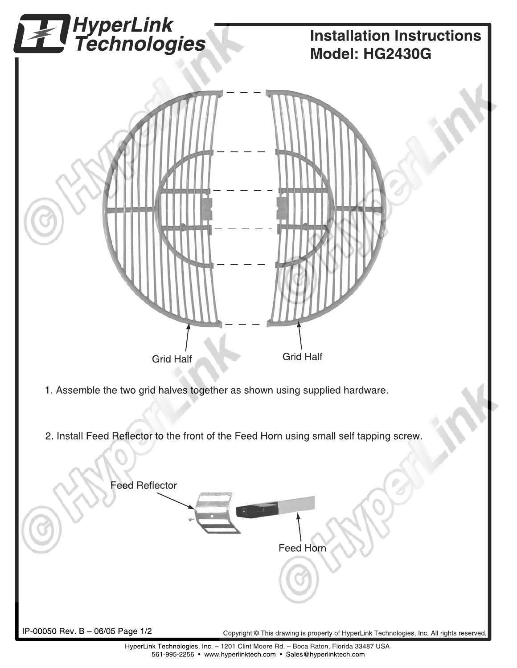